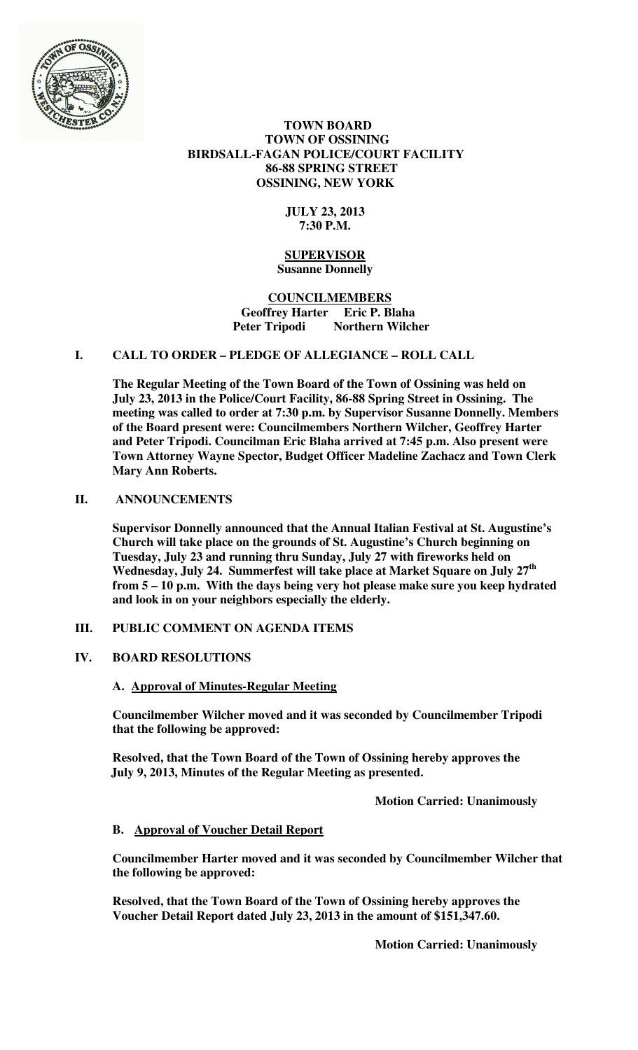

### **TOWN BOARD TOWN OF OSSINING BIRDSALL-FAGAN POLICE/COURT FACILITY 86-88 SPRING STREET OSSINING, NEW YORK**

## **JULY 23, 2013 7:30 P.M.**

#### **SUPERVISOR Susanne Donnelly**

### **COUNCILMEMBERS Geoffrey Harter Eric P. Blaha**  Peter Tripodi Northern Wilcher

# **I. CALL TO ORDER – PLEDGE OF ALLEGIANCE – ROLL CALL**

**The Regular Meeting of the Town Board of the Town of Ossining was held on July 23, 2013 in the Police/Court Facility, 86-88 Spring Street in Ossining. The meeting was called to order at 7:30 p.m. by Supervisor Susanne Donnelly. Members of the Board present were: Councilmembers Northern Wilcher, Geoffrey Harter and Peter Tripodi. Councilman Eric Blaha arrived at 7:45 p.m. Also present were Town Attorney Wayne Spector, Budget Officer Madeline Zachacz and Town Clerk Mary Ann Roberts.** 

### **II. ANNOUNCEMENTS**

**Supervisor Donnelly announced that the Annual Italian Festival at St. Augustine's Church will take place on the grounds of St. Augustine's Church beginning on Tuesday, July 23 and running thru Sunday, July 27 with fireworks held on Wednesday, July 24. Summerfest will take place at Market Square on July 27th from 5 – 10 p.m. With the days being very hot please make sure you keep hydrated and look in on your neighbors especially the elderly.** 

### **III. PUBLIC COMMENT ON AGENDA ITEMS**

## **IV. BOARD RESOLUTIONS**

### **A. Approval of Minutes-Regular Meeting**

**Councilmember Wilcher moved and it was seconded by Councilmember Tripodi that the following be approved:** 

**Resolved, that the Town Board of the Town of Ossining hereby approves the July 9, 2013, Minutes of the Regular Meeting as presented.** 

 **Motion Carried: Unanimously** 

### **B. Approval of Voucher Detail Report**

**Councilmember Harter moved and it was seconded by Councilmember Wilcher that the following be approved:** 

**Resolved, that the Town Board of the Town of Ossining hereby approves the Voucher Detail Report dated July 23, 2013 in the amount of \$151,347.60.**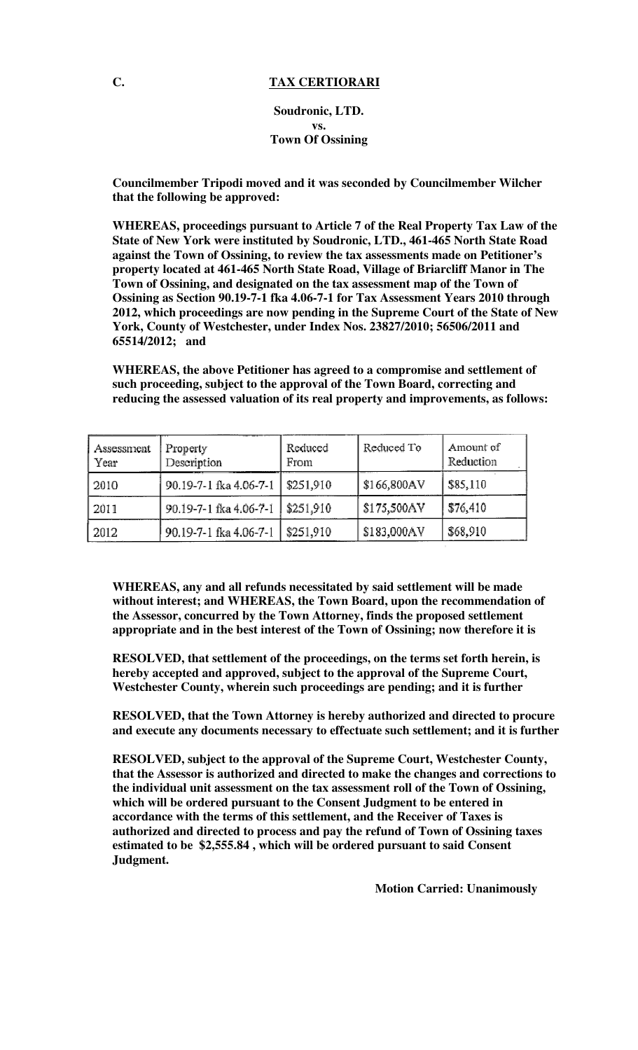#### **C. TAX CERTIORARI**

**Soudronic, LTD. vs. Town Of Ossining**

**Councilmember Tripodi moved and it was seconded by Councilmember Wilcher that the following be approved:** 

**WHEREAS, proceedings pursuant to Article 7 of the Real Property Tax Law of the State of New York were instituted by Soudronic, LTD., 461-465 North State Road against the Town of Ossining, to review the tax assessments made on Petitioner's property located at 461-465 North State Road, Village of Briarcliff Manor in The Town of Ossining, and designated on the tax assessment map of the Town of Ossining as Section 90.19-7-1 fka 4.06-7-1 for Tax Assessment Years 2010 through 2012, which proceedings are now pending in the Supreme Court of the State of New York, County of Westchester, under Index Nos. 23827/2010; 56506/2011 and 65514/2012; and** 

**WHEREAS, the above Petitioner has agreed to a compromise and settlement of such proceeding, subject to the approval of the Town Board, correcting and reducing the assessed valuation of its real property and improvements, as follows:** 

| Assessment<br>Year | Property<br>Description | Reduced<br>From | Reduced To  | Amount of<br>Reduction |
|--------------------|-------------------------|-----------------|-------------|------------------------|
| 2010               | 90.19-7-1 fka 4.06-7-1  | \$251,910       | \$166,800AV | \$85,110               |
| 2011               | 90.19-7-1 fka 4.06-7-1  | \$251,910       | \$175,500AY | \$76,410               |
| 2012               | 90.19-7-1 fka 4.06-7-1  | $ $ \$251,910   | \$183,000AV | \$68,910               |

**WHEREAS, any and all refunds necessitated by said settlement will be made without interest; and WHEREAS, the Town Board, upon the recommendation of the Assessor, concurred by the Town Attorney, finds the proposed settlement appropriate and in the best interest of the Town of Ossining; now therefore it is** 

**RESOLVED, that settlement of the proceedings, on the terms set forth herein, is hereby accepted and approved, subject to the approval of the Supreme Court, Westchester County, wherein such proceedings are pending; and it is further** 

**RESOLVED, that the Town Attorney is hereby authorized and directed to procure and execute any documents necessary to effectuate such settlement; and it is further** 

**RESOLVED, subject to the approval of the Supreme Court, Westchester County, that the Assessor is authorized and directed to make the changes and corrections to the individual unit assessment on the tax assessment roll of the Town of Ossining, which will be ordered pursuant to the Consent Judgment to be entered in accordance with the terms of this settlement, and the Receiver of Taxes is authorized and directed to process and pay the refund of Town of Ossining taxes estimated to be \$2,555.84 , which will be ordered pursuant to said Consent Judgment.**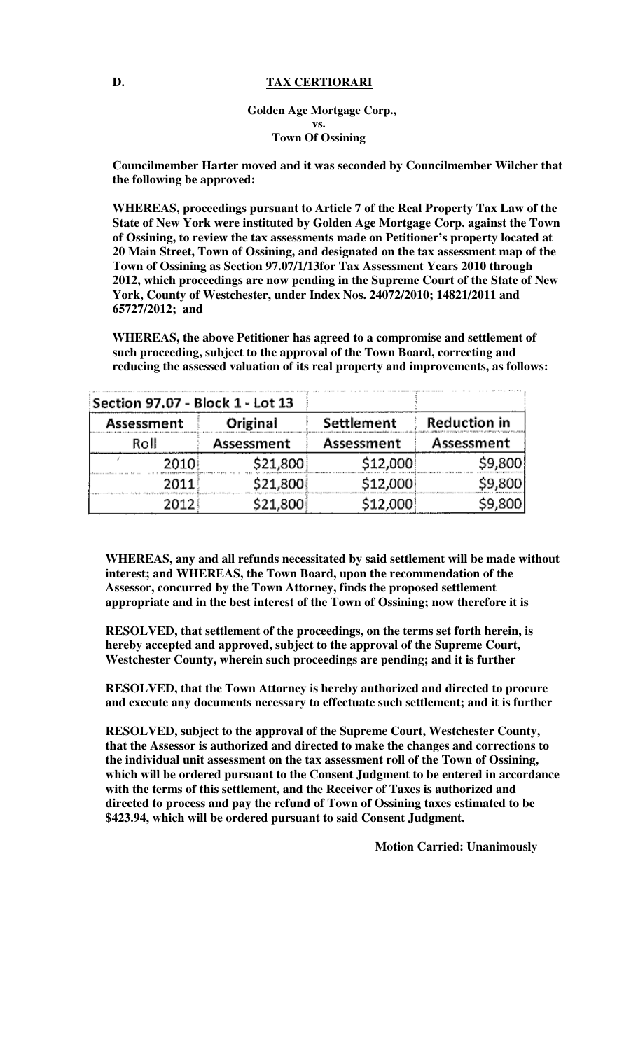#### **D. TAX CERTIORARI**

### **Golden Age Mortgage Corp., vs. Town Of Ossining**

**Councilmember Harter moved and it was seconded by Councilmember Wilcher that the following be approved:** 

**WHEREAS, proceedings pursuant to Article 7 of the Real Property Tax Law of the State of New York were instituted by Golden Age Mortgage Corp. against the Town of Ossining, to review the tax assessments made on Petitioner's property located at 20 Main Street, Town of Ossining, and designated on the tax assessment map of the Town of Ossining as Section 97.07/1/13for Tax Assessment Years 2010 through 2012, which proceedings are now pending in the Supreme Court of the State of New York, County of Westchester, under Index Nos. 24072/2010; 14821/2011 and 65727/2012; and** 

**WHEREAS, the above Petitioner has agreed to a compromise and settlement of such proceeding, subject to the approval of the Town Board, correcting and reducing the assessed valuation of its real property and improvements, as follows:** 

| Section 97.07 - Block 1 - Lot 13 |            |            |              |
|----------------------------------|------------|------------|--------------|
| Assessment                       | Original   | Settlement | Reduction in |
| Roll                             | Assessment | Assessment | Assessment   |
| 2010                             | \$21,800   | \$12,000   | \$9,800      |
| 2011.                            | \$21,800   | \$12,000   | \$9,800      |
| 20121                            | \$21,800   | \$12,000   | \$9,800      |

**WHEREAS, any and all refunds necessitated by said settlement will be made without interest; and WHEREAS, the Town Board, upon the recommendation of the Assessor, concurred by the Town Attorney, finds the proposed settlement appropriate and in the best interest of the Town of Ossining; now therefore it is** 

**RESOLVED, that settlement of the proceedings, on the terms set forth herein, is hereby accepted and approved, subject to the approval of the Supreme Court, Westchester County, wherein such proceedings are pending; and it is further** 

**RESOLVED, that the Town Attorney is hereby authorized and directed to procure and execute any documents necessary to effectuate such settlement; and it is further** 

**RESOLVED, subject to the approval of the Supreme Court, Westchester County, that the Assessor is authorized and directed to make the changes and corrections to the individual unit assessment on the tax assessment roll of the Town of Ossining, which will be ordered pursuant to the Consent Judgment to be entered in accordance with the terms of this settlement, and the Receiver of Taxes is authorized and directed to process and pay the refund of Town of Ossining taxes estimated to be \$423.94, which will be ordered pursuant to said Consent Judgment.**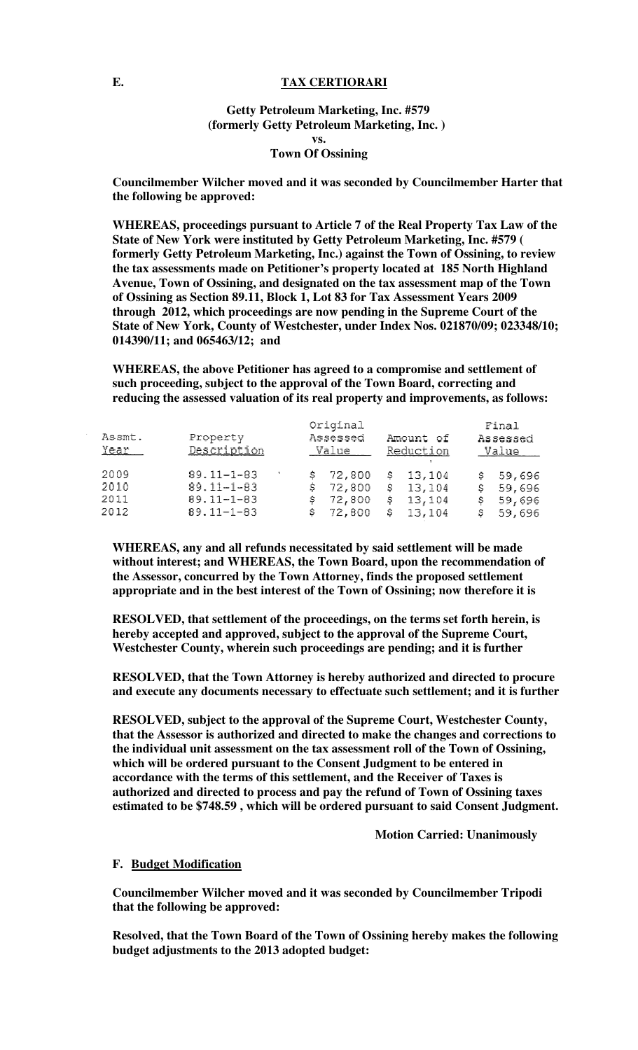#### **E. TAX CERTIORARI**

### **Getty Petroleum Marketing, Inc. #579 (formerly Getty Petroleum Marketing, Inc. ) vs. Town Of Ossining**

**Councilmember Wilcher moved and it was seconded by Councilmember Harter that the following be approved:** 

**WHEREAS, proceedings pursuant to Article 7 of the Real Property Tax Law of the State of New York were instituted by Getty Petroleum Marketing, Inc. #579 ( formerly Getty Petroleum Marketing, Inc.) against the Town of Ossining, to review the tax assessments made on Petitioner's property located at 185 North Highland Avenue, Town of Ossining, and designated on the tax assessment map of the Town of Ossining as Section 89.11, Block 1, Lot 83 for Tax Assessment Years 2009 through 2012, which proceedings are now pending in the Supreme Court of the State of New York, County of Westchester, under Index Nos. 021870/09; 023348/10; 014390/11; and 065463/12; and** 

**WHEREAS, the above Petitioner has agreed to a compromise and settlement of such proceeding, subject to the approval of the Town Board, correcting and reducing the assessed valuation of its real property and improvements, as follows:** 

| Assmt.<br>Year                | Property<br>Description                                                      |               | Original<br>Assessed<br>Value          |    | Amount of<br>Reduction                     |                    | Final<br>Assessed<br>Value           |
|-------------------------------|------------------------------------------------------------------------------|---------------|----------------------------------------|----|--------------------------------------------|--------------------|--------------------------------------|
| -2009<br>2010<br>2011<br>2012 | $89.11 - 1 - 83$<br>$89.11 - 1 - 83$<br>$89.11 - 1 - 83$<br>$89.11 - 1 - 83$ | S.<br>s<br>s. | \$72,800<br>72,800<br>72,800<br>72,800 | Ŝ. | \$13,104<br>\$13,104<br>\$13,104<br>13,104 | s.<br>s<br>s<br>S. | 59,696<br>59,696<br>59,696<br>59,696 |

**WHEREAS, any and all refunds necessitated by said settlement will be made without interest; and WHEREAS, the Town Board, upon the recommendation of the Assessor, concurred by the Town Attorney, finds the proposed settlement appropriate and in the best interest of the Town of Ossining; now therefore it is** 

**RESOLVED, that settlement of the proceedings, on the terms set forth herein, is hereby accepted and approved, subject to the approval of the Supreme Court, Westchester County, wherein such proceedings are pending; and it is further** 

**RESOLVED, that the Town Attorney is hereby authorized and directed to procure and execute any documents necessary to effectuate such settlement; and it is further** 

**RESOLVED, subject to the approval of the Supreme Court, Westchester County, that the Assessor is authorized and directed to make the changes and corrections to the individual unit assessment on the tax assessment roll of the Town of Ossining, which will be ordered pursuant to the Consent Judgment to be entered in accordance with the terms of this settlement, and the Receiver of Taxes is authorized and directed to process and pay the refund of Town of Ossining taxes estimated to be \$748.59 , which will be ordered pursuant to said Consent Judgment.** 

 **Motion Carried: Unanimously** 

#### **F. Budget Modification**

**Councilmember Wilcher moved and it was seconded by Councilmember Tripodi that the following be approved:** 

**Resolved, that the Town Board of the Town of Ossining hereby makes the following budget adjustments to the 2013 adopted budget:**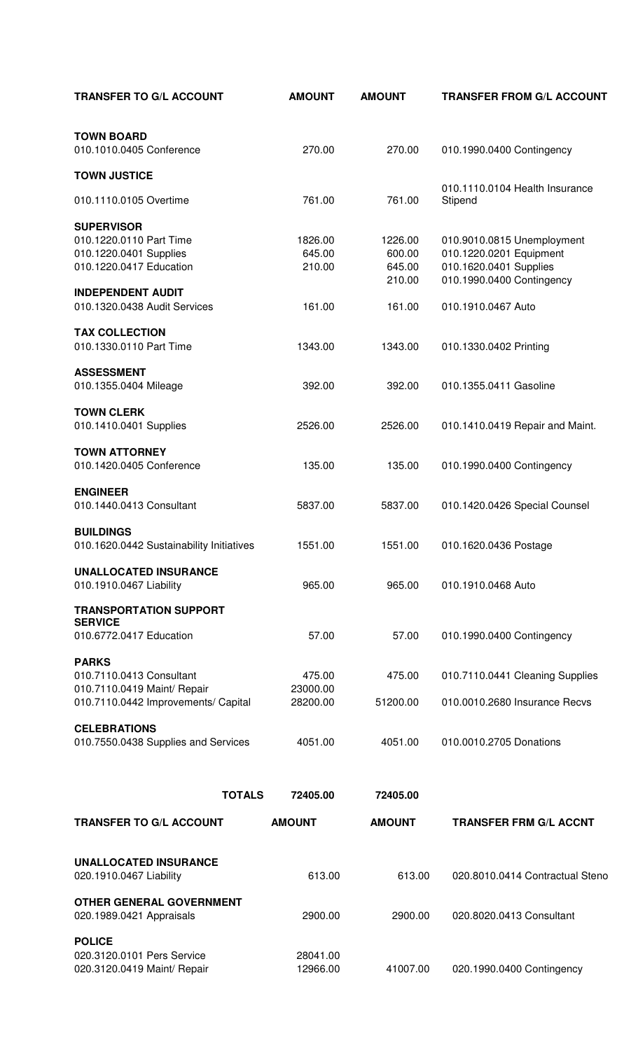| <b>TRANSFER TO G/L ACCOUNT</b>                                             | <b>AMOUNT</b>        | <b>AMOUNT</b>     | <b>TRANSFER FROM G/L ACCOUNT</b>                      |
|----------------------------------------------------------------------------|----------------------|-------------------|-------------------------------------------------------|
| <b>TOWN BOARD</b><br>010.1010.0405 Conference                              | 270.00               | 270.00            | 010.1990.0400 Contingency                             |
| <b>TOWN JUSTICE</b>                                                        |                      |                   |                                                       |
|                                                                            |                      |                   | 010.1110.0104 Health Insurance                        |
| 010.1110.0105 Overtime                                                     | 761.00               | 761.00            | Stipend                                               |
| <b>SUPERVISOR</b><br>010.1220.0110 Part Time<br>010.1220.0401 Supplies     | 1826.00<br>645.00    | 1226.00<br>600.00 | 010.9010.0815 Unemployment<br>010.1220.0201 Equipment |
| 010.1220.0417 Education                                                    | 210.00               | 645.00<br>210.00  | 010.1620.0401 Supplies<br>010.1990.0400 Contingency   |
| <b>INDEPENDENT AUDIT</b><br>010.1320.0438 Audit Services                   | 161.00               | 161.00            | 010.1910.0467 Auto                                    |
| <b>TAX COLLECTION</b><br>010.1330.0110 Part Time                           | 1343.00              | 1343.00           | 010.1330.0402 Printing                                |
| <b>ASSESSMENT</b><br>010.1355.0404 Mileage                                 | 392.00               | 392.00            | 010.1355.0411 Gasoline                                |
| <b>TOWN CLERK</b><br>010.1410.0401 Supplies                                | 2526.00              | 2526.00           | 010.1410.0419 Repair and Maint.                       |
| <b>TOWN ATTORNEY</b><br>010.1420.0405 Conference                           | 135.00               | 135.00            | 010.1990.0400 Contingency                             |
| <b>ENGINEER</b><br>010.1440.0413 Consultant                                | 5837.00              | 5837.00           | 010.1420.0426 Special Counsel                         |
| <b>BUILDINGS</b><br>010.1620.0442 Sustainability Initiatives               | 1551.00              | 1551.00           | 010.1620.0436 Postage                                 |
| <b>UNALLOCATED INSURANCE</b><br>010.1910.0467 Liability                    | 965.00               | 965.00            | 010.1910.0468 Auto                                    |
| <b>TRANSPORTATION SUPPORT</b><br><b>SERVICE</b>                            |                      |                   |                                                       |
| 010.6772.0417 Education                                                    | 57.00                | 57.00             | 010.1990.0400 Contingency                             |
| <b>PARKS</b><br>010.7110.0413 Consultant<br>010.7110.0419 Maint/ Repair    | 475.00<br>23000.00   | 475.00            | 010.7110.0441 Cleaning Supplies                       |
| 010.7110.0442 Improvements/ Capital                                        | 28200.00             | 51200.00          | 010.0010.2680 Insurance Recvs                         |
| <b>CELEBRATIONS</b><br>010.7550.0438 Supplies and Services                 | 4051.00              | 4051.00           | 010.0010.2705 Donations                               |
| <b>TOTALS</b>                                                              | 72405.00             | 72405.00          |                                                       |
| <b>TRANSFER TO G/L ACCOUNT</b>                                             | <b>AMOUNT</b>        | <b>AMOUNT</b>     | <b>TRANSFER FRM G/L ACCNT</b>                         |
| <b>UNALLOCATED INSURANCE</b>                                               |                      |                   |                                                       |
| 020.1910.0467 Liability                                                    | 613.00               | 613.00            | 020.8010.0414 Contractual Steno                       |
| <b>OTHER GENERAL GOVERNMENT</b><br>020.1989.0421 Appraisals                | 2900.00              | 2900.00           | 020.8020.0413 Consultant                              |
| <b>POLICE</b><br>020.3120.0101 Pers Service<br>020.3120.0419 Maint/ Repair | 28041.00<br>12966.00 | 41007.00          | 020.1990.0400 Contingency                             |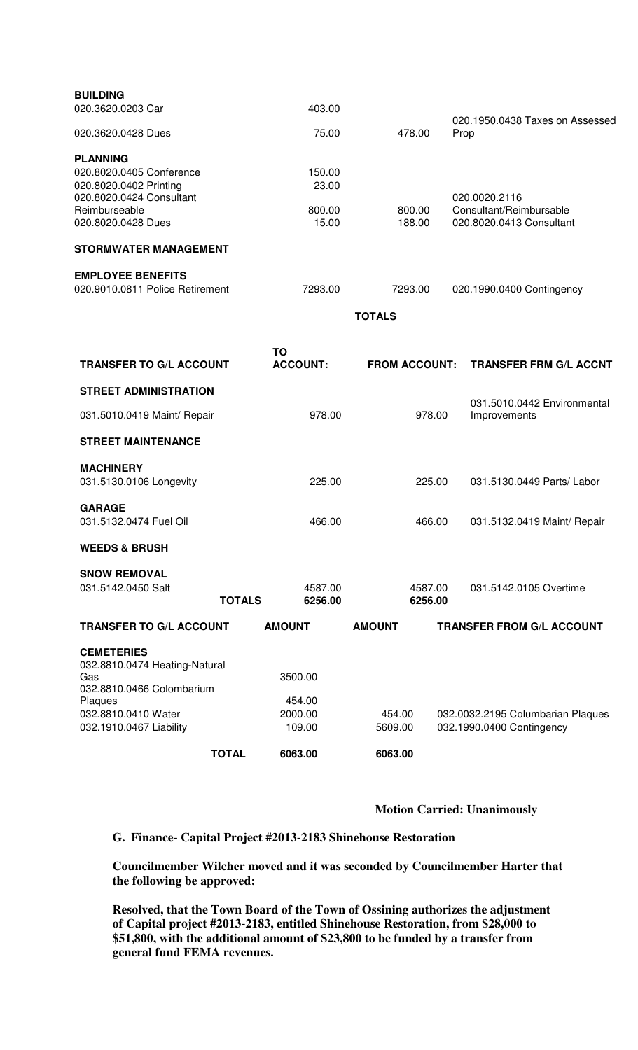| <b>BUILDING</b>                 |         |               |                                 |
|---------------------------------|---------|---------------|---------------------------------|
| 020.3620.0203 Car               | 403.00  |               | 020.1950.0438 Taxes on Assessed |
| 020.3620.0428 Dues              | 75.00   | 478.00        | Prop                            |
| <b>PLANNING</b>                 |         |               |                                 |
| 020.8020.0405 Conference        | 150.00  |               |                                 |
| 020.8020.0402 Printing          | 23.00   |               |                                 |
| 020.8020.0424 Consultant        |         |               | 020.0020.2116                   |
| Reimburseable                   | 800.00  | 800.00        | Consultant/Reimbursable         |
| 020.8020.0428 Dues              | 15.00   | 188.00        | 020.8020.0413 Consultant        |
| <b>STORMWATER MANAGEMENT</b>    |         |               |                                 |
| <b>EMPLOYEE BENEFITS</b>        |         |               |                                 |
| 020.9010.0811 Police Retirement | 7293.00 | 7293.00       | 020.1990.0400 Contingency       |
|                                 |         | <b>TOTALS</b> |                                 |

| <b>TRANSFER TO G/L ACCOUNT</b>                                                                                                                      |               | TO<br><b>ACCOUNT:</b>                  | <b>FROM ACCOUNT:</b> | <b>TRANSFER FRM G/L ACCNT</b>                                  |
|-----------------------------------------------------------------------------------------------------------------------------------------------------|---------------|----------------------------------------|----------------------|----------------------------------------------------------------|
| <b>STREET ADMINISTRATION</b>                                                                                                                        |               |                                        |                      |                                                                |
| 031.5010.0419 Maint/ Repair                                                                                                                         |               | 978.00                                 | 978.00               | 031.5010.0442 Environmental<br>Improvements                    |
| <b>STREET MAINTENANCE</b>                                                                                                                           |               |                                        |                      |                                                                |
| <b>MACHINERY</b><br>031.5130.0106 Longevity                                                                                                         |               | 225.00                                 | 225.00               | 031.5130.0449 Parts/ Labor                                     |
| <b>GARAGE</b><br>031.5132.0474 Fuel Oil                                                                                                             |               | 466.00                                 | 466.00               | 031.5132.0419 Maint/ Repair                                    |
| <b>WEEDS &amp; BRUSH</b>                                                                                                                            |               |                                        |                      |                                                                |
| <b>SNOW REMOVAL</b><br>031.5142.0450 Salt                                                                                                           | <b>TOTALS</b> | 4587.00<br>6256.00                     | 4587.00<br>6256.00   | 031.5142.0105 Overtime                                         |
| <b>TRANSFER TO G/L ACCOUNT</b>                                                                                                                      |               | <b>AMOUNT</b>                          | <b>AMOUNT</b>        | <b>TRANSFER FROM G/L ACCOUNT</b>                               |
| <b>CEMETERIES</b><br>032.8810.0474 Heating-Natural<br>Gas<br>032.8810.0466 Colombarium<br>Plaques<br>032.8810.0410 Water<br>032.1910.0467 Liability |               | 3500.00<br>454.00<br>2000.00<br>109.00 | 454.00<br>5609.00    | 032.0032.2195 Columbarian Plaques<br>032.1990.0400 Contingency |
|                                                                                                                                                     | <b>TOTAL</b>  | 6063.00                                | 6063.00              |                                                                |

**Motion Carried: Unanimously** 

# **G. Finance- Capital Project #2013-2183 Shinehouse Restoration**

**Councilmember Wilcher moved and it was seconded by Councilmember Harter that the following be approved:** 

**Resolved, that the Town Board of the Town of Ossining authorizes the adjustment of Capital project #2013-2183, entitled Shinehouse Restoration, from \$28,000 to \$51,800, with the additional amount of \$23,800 to be funded by a transfer from general fund FEMA revenues.**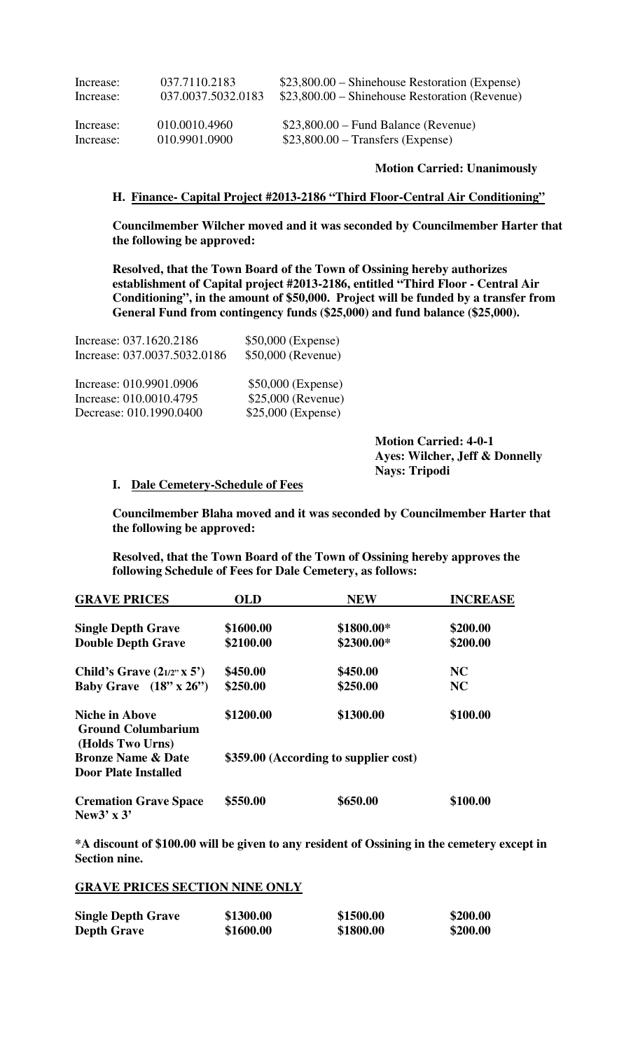| Increase: | 037.7110.2183      | $$23,800.00$ – Shinehouse Restoration (Expense) |
|-----------|--------------------|-------------------------------------------------|
| Increase: | 037.0037.5032.0183 | $$23,800.00$ – Shinehouse Restoration (Revenue) |
| Increase: | 010.0010.4960      | $$23,800.00 - Fund Balance$ (Revenue)           |
| Increase: | 010.9901.0900      | $$23,800.00$ – Transfers (Expense)              |

#### **Motion Carried: Unanimously**

#### **H. Finance- Capital Project #2013-2186 "Third Floor-Central Air Conditioning"**

**Councilmember Wilcher moved and it was seconded by Councilmember Harter that the following be approved:** 

**Resolved, that the Town Board of the Town of Ossining hereby authorizes establishment of Capital project #2013-2186, entitled "Third Floor - Central Air Conditioning", in the amount of \$50,000. Project will be funded by a transfer from General Fund from contingency funds (\$25,000) and fund balance (\$25,000).** 

| Increase: 037.0037.5032.0186 | \$50,000 (Revenue) |
|------------------------------|--------------------|
| Increase: 010.9901.0906      | \$50,000 (Expense) |
| Increase: 010.0010.4795      | \$25,000 (Revenue) |
| Decrease: 010.1990.0400      | \$25,000 (Expense) |

Increase: 037.1620.2186 \$50,000 (Expense)

 **Motion Carried: 4-0-1 Ayes: Wilcher, Jeff & Donnelly Nays: Tripodi** 

#### **I. Dale Cemetery-Schedule of Fees**

**Councilmember Blaha moved and it was seconded by Councilmember Harter that the following be approved:** 

**Resolved, that the Town Board of the Town of Ossining hereby approves the following Schedule of Fees for Dale Cemetery, as follows:** 

| <b>GRAVE PRICES</b>                                                    | <b>OLD</b> | <b>NEW</b>                            | <b>INCREASE</b> |
|------------------------------------------------------------------------|------------|---------------------------------------|-----------------|
| <b>Single Depth Grave</b>                                              | \$1600.00  | \$1800.00*                            | \$200.00        |
| <b>Double Depth Grave</b>                                              | \$2100.00  | \$2300.00*                            | \$200.00        |
| Child's Grave $(2_{1/2}x \times 5)$                                    | \$450.00   | \$450.00                              | NC              |
| Baby Grave $(18" \times 26")$                                          | \$250.00   | \$250.00                              | NC              |
| <b>Niche in Above</b><br><b>Ground Columbarium</b><br>(Holds Two Urns) | \$1200.00  | \$1300.00                             | \$100.00        |
| <b>Bronze Name &amp; Date</b><br><b>Door Plate Installed</b>           |            | \$359.00 (According to supplier cost) |                 |
| <b>Cremation Grave Space</b><br>New $3' \times 3'$                     | \$550.00   | \$650.00                              | \$100.00        |

**\*A discount of \$100.00 will be given to any resident of Ossining in the cemetery except in Section nine.** 

### **GRAVE PRICES SECTION NINE ONLY**

| <b>Single Depth Grave</b> | \$1300.00 | \$1500.00 | \$200.00 |
|---------------------------|-----------|-----------|----------|
| <b>Depth Grave</b>        | \$1600.00 | \$1800.00 | \$200.00 |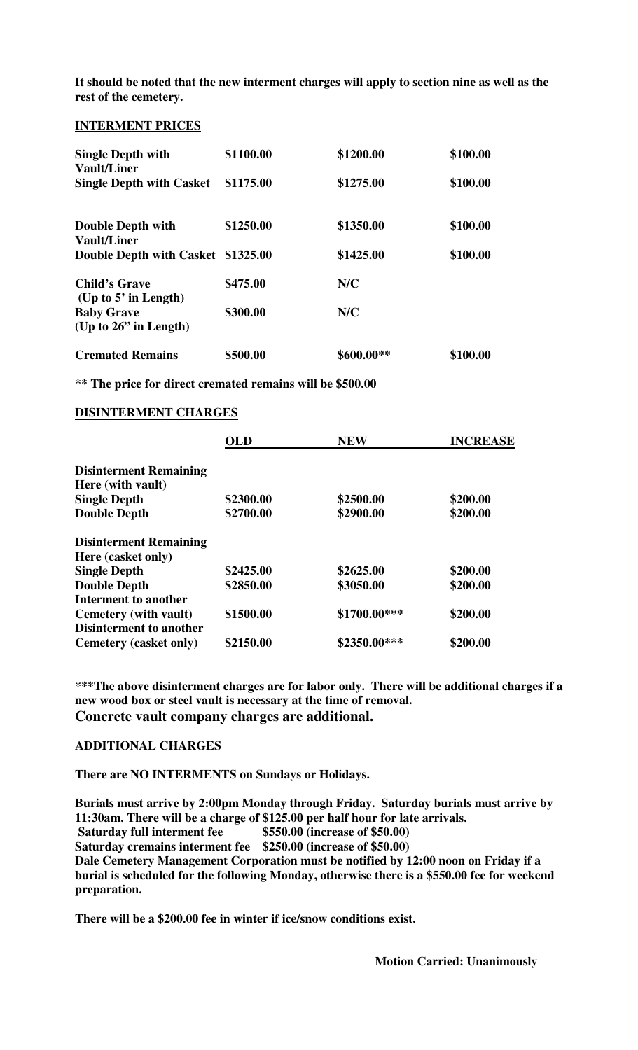**It should be noted that the new interment charges will apply to section nine as well as the rest of the cemetery.** 

#### **INTERMENT PRICES**

| <b>Single Depth with</b><br>Vault/Liner        | \$1100.00 | \$1200.00  | \$100.00 |
|------------------------------------------------|-----------|------------|----------|
| <b>Single Depth with Casket</b>                | \$1175.00 | \$1275.00  | \$100.00 |
| <b>Double Depth with</b>                       | \$1250.00 | \$1350.00  | \$100.00 |
| Vault/Liner                                    |           |            |          |
| Double Depth with Casket \$1325.00             |           | \$1425.00  | \$100.00 |
| <b>Child's Grave</b><br>(Up to $5'$ in Length) | \$475.00  | N/C        |          |
| <b>Baby Grave</b>                              | \$300.00  | N/C        |          |
| (Up to $26$ " in Length)                       |           |            |          |
| <b>Cremated Remains</b>                        | \$500.00  | \$600.00** | \$100.00 |

**\*\* The price for direct cremated remains will be \$500.00** 

#### **DISINTERMENT CHARGES**

|                                | OLD       | <b>NEW</b>    | <b>INCREASE</b> |
|--------------------------------|-----------|---------------|-----------------|
| <b>Disinterment Remaining</b>  |           |               |                 |
| Here (with vault)              |           |               |                 |
| <b>Single Depth</b>            | \$2300.00 | \$2500.00     | \$200.00        |
| <b>Double Depth</b>            | \$2700.00 | \$2900.00     | \$200.00        |
| <b>Disinterment Remaining</b>  |           |               |                 |
| Here (casket only)             |           |               |                 |
| <b>Single Depth</b>            | \$2425.00 | \$2625.00     | \$200.00        |
| <b>Double Depth</b>            | \$2850.00 | \$3050.00     | \$200.00        |
| Interment to another           |           |               |                 |
| Cemetery (with vault)          | \$1500.00 | \$1700.00***  | \$200.00        |
| <b>Disinterment to another</b> |           |               |                 |
| Cemetery (casket only)         | \$2150.00 | $$2350.00***$ | \$200.00        |

**\*\*\*The above disinterment charges are for labor only. There will be additional charges if a new wood box or steel vault is necessary at the time of removal. Concrete vault company charges are additional.**

### **ADDITIONAL CHARGES**

**There are NO INTERMENTS on Sundays or Holidays.** 

**Burials must arrive by 2:00pm Monday through Friday. Saturday burials must arrive by 11:30am. There will be a charge of \$125.00 per half hour for late arrivals. Saturday full interment fee \$550.00 (increase of \$50.00) Saturday cremains interment fee \$250.00 (increase of \$50.00) Dale Cemetery Management Corporation must be notified by 12:00 noon on Friday if a burial is scheduled for the following Monday, otherwise there is a \$550.00 fee for weekend preparation.** 

**There will be a \$200.00 fee in winter if ice/snow conditions exist.**